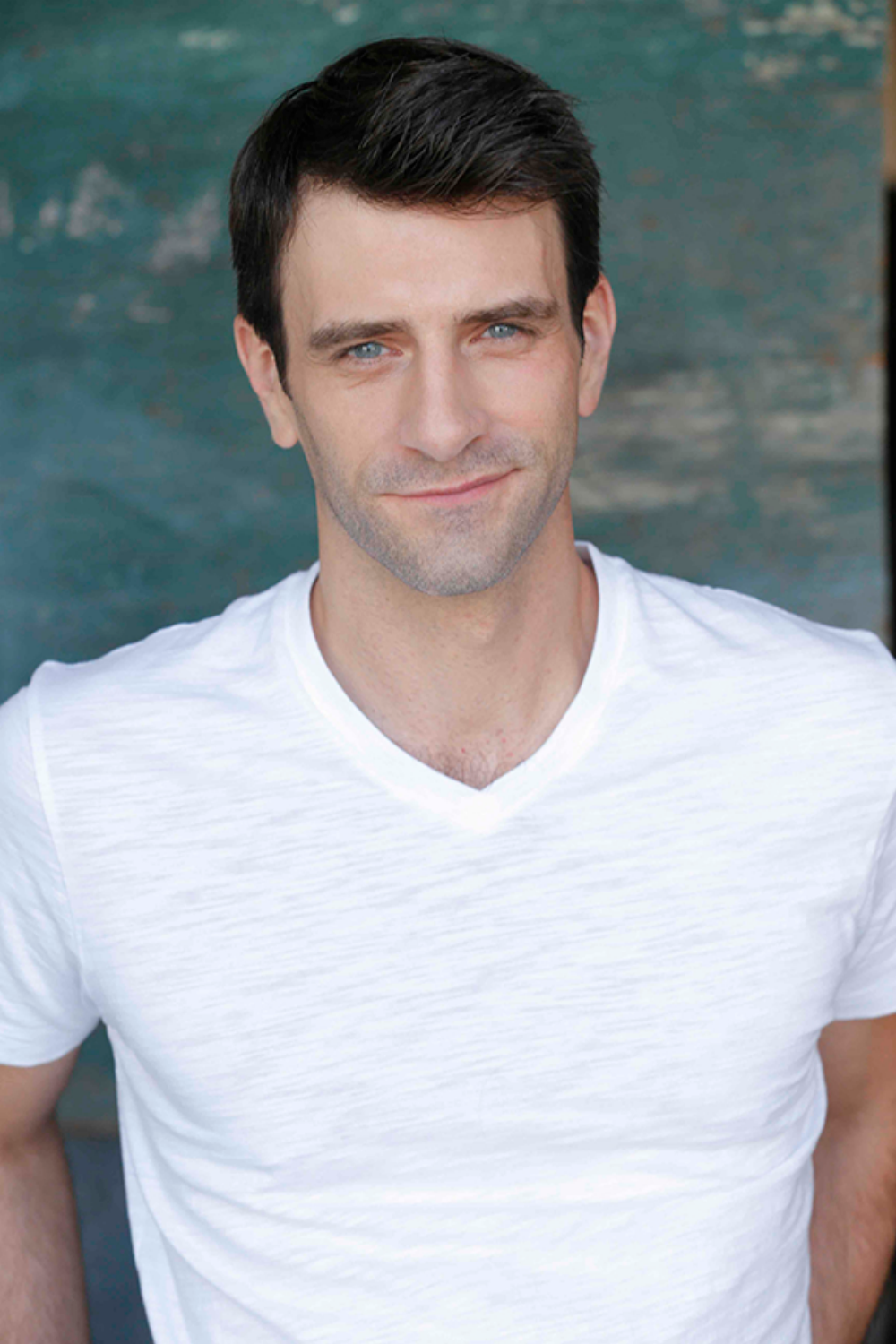